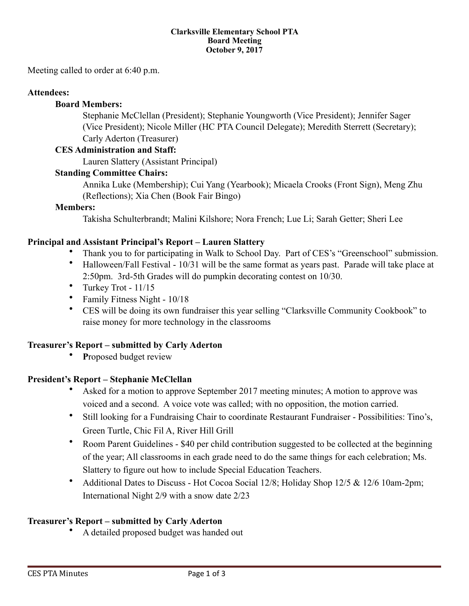#### **Clarksville Elementary School PTA Board Meeting October 9, 2017**

Meeting called to order at 6:40 p.m.

## **Attendees:**

## **Board Members:**

 Stephanie McClellan (President); Stephanie Youngworth (Vice President); Jennifer Sager (Vice President); Nicole Miller (HC PTA Council Delegate); Meredith Sterrett (Secretary); Carly Aderton (Treasurer)

### **CES Administration and Staff:**

Lauren Slattery (Assistant Principal)

## **Standing Committee Chairs:**

 Annika Luke (Membership); Cui Yang (Yearbook); Micaela Crooks (Front Sign), Meng Zhu (Reflections); Xia Chen (Book Fair Bingo)

## **Members:**

Takisha Schulterbrandt; Malini Kilshore; Nora French; Lue Li; Sarah Getter; Sheri Lee

## **Principal and Assistant Principal's Report – Lauren Slattery**

- Thank you to for participating in Walk to School Day. Part of CES's "Greenschool" submission.
- Halloween/Fall Festival 10/31 will be the same format as years past. Parade will take place at 2:50pm. 3rd-5th Grades will do pumpkin decorating contest on 10/30.
- Turkey Trot 11/15
- Family Fitness Night 10/18
- CES will be doing its own fundraiser this year selling "Clarksville Community Cookbook" to raise money for more technology in the classrooms

## **Treasurer's Report – submitted by Carly Aderton**

• **P**roposed budget review

## **President's Report – Stephanie McClellan**

- Asked for a motion to approve September 2017 meeting minutes; A motion to approve was voiced and a second. A voice vote was called; with no opposition, the motion carried.
- Still looking for a Fundraising Chair to coordinate Restaurant Fundraiser Possibilities: Tino's, Green Turtle, Chic Fil A, River Hill Grill
- Room Parent Guidelines \$40 per child contribution suggested to be collected at the beginning of the year; All classrooms in each grade need to do the same things for each celebration; Ms. Slattery to figure out how to include Special Education Teachers.
- Additional Dates to Discuss Hot Cocoa Social 12/8; Holiday Shop 12/5 & 12/6 10am-2pm; International Night 2/9 with a snow date 2/23

## **Treasurer's Report – submitted by Carly Aderton**

• A detailed proposed budget was handed out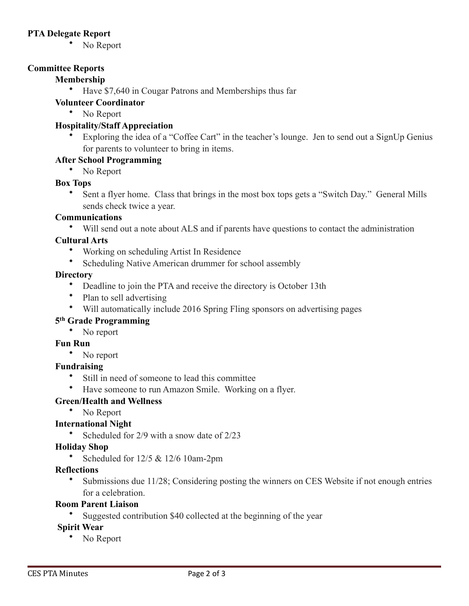## **PTA Delegate Report**

• No Report

## **Committee Reports**

## **Membership**

• Have \$7,640 in Cougar Patrons and Memberships thus far

## **Volunteer Coordinator**

• No Report

## **Hospitality/Staff Appreciation**

• Exploring the idea of a "Coffee Cart" in the teacher's lounge. Jen to send out a SignUp Genius for parents to volunteer to bring in items.

## **After School Programming**

• No Report

#### **Box Tops**

• Sent a flyer home. Class that brings in the most box tops gets a "Switch Day." General Mills sends check twice a year.

#### **Communications**

• Will send out a note about ALS and if parents have questions to contact the administration

#### **Cultural Arts**

- Working on scheduling Artist In Residence
- Scheduling Native American drummer for school assembly

#### **Directory**

- Deadline to join the PTA and receive the directory is October 13th
- Plan to sell advertising
- Will automatically include 2016 Spring Fling sponsors on advertising pages

## **5th Grade Programming**

• No report

#### **Fun Run**

• No report

## **Fundraising**

- Still in need of someone to lead this committee
- Have someone to run Amazon Smile. Working on a flyer.

## **Green/Health and Wellness**

• No Report

#### **International Night**

• Scheduled for 2/9 with a snow date of 2/23

#### **Holiday Shop**

• Scheduled for 12/5 & 12/6 10am-2pm

#### **Reflections**

Submissions due 11/28; Considering posting the winners on CES Website if not enough entries for a celebration.

# **Room Parent Liaison**

Suggested contribution \$40 collected at the beginning of the year

## **Spirit Wear**

• No Report